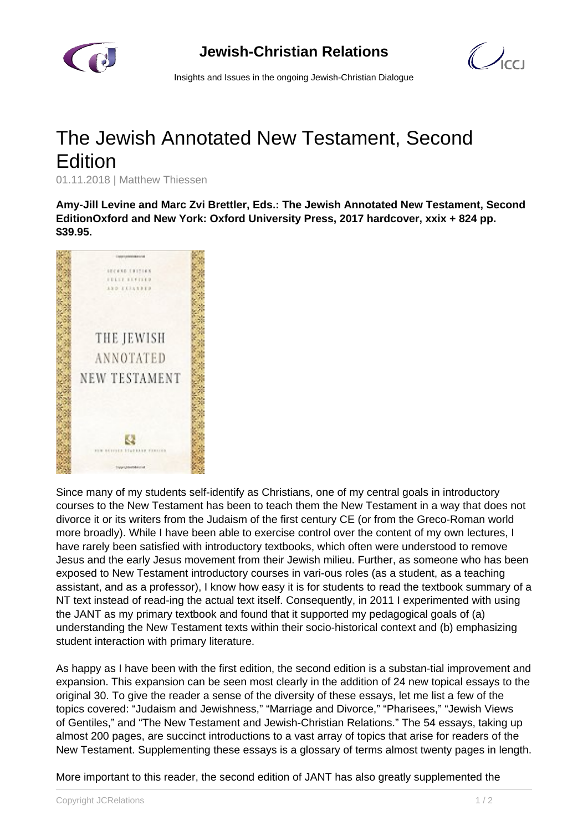

 $\mathcal{O}_{\text{cc}}$ 

Insights and Issues in the ongoing Jewish-Christian Dialogue

## The Jewish Annotated New Testament, Second **Edition**

01.11.2018 | Matthew Thiessen

**Amy-Jill Levine and Marc Zvi Brettler, Eds.: The Jewish Annotated New Testament, Second EditionOxford and New York: Oxford University Press, 2017 hardcover, xxix + 824 pp. \$39.95.**



Since many of my students self-identify as Christians, one of my central goals in introductory courses to the New Testament has been to teach them the New Testament in a way that does not divorce it or its writers from the Judaism of the first century CE (or from the Greco-Roman world more broadly). While I have been able to exercise control over the content of my own lectures, I have rarely been satisfied with introductory textbooks, which often were understood to remove Jesus and the early Jesus movement from their Jewish milieu. Further, as someone who has been exposed to New Testament introductory courses in vari-ous roles (as a student, as a teaching assistant, and as a professor), I know how easy it is for students to read the textbook summary of a NT text instead of read-ing the actual text itself. Consequently, in 2011 I experimented with using the JANT as my primary textbook and found that it supported my pedagogical goals of (a) understanding the New Testament texts within their socio-historical context and (b) emphasizing student interaction with primary literature.

As happy as I have been with the first edition, the second edition is a substan-tial improvement and expansion. This expansion can be seen most clearly in the addition of 24 new topical essays to the original 30. To give the reader a sense of the diversity of these essays, let me list a few of the topics covered: "Judaism and Jewishness," "Marriage and Divorce," "Pharisees," "Jewish Views of Gentiles," and "The New Testament and Jewish-Christian Relations." The 54 essays, taking up almost 200 pages, are succinct introductions to a vast array of topics that arise for readers of the New Testament. Supplementing these essays is a glossary of terms almost twenty pages in length.

More important to this reader, the second edition of JANT has also greatly supplemented the